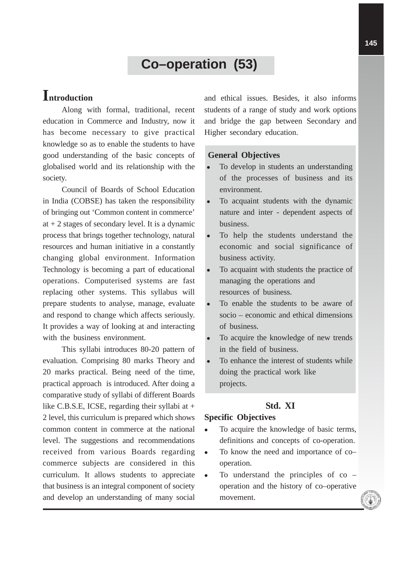# **Co–operation (53)**

# **Introduction**

Along with formal, traditional, recent education in Commerce and Industry, now it has become necessary to give practical knowledge so as to enable the students to have good understanding of the basic concepts of globalised world and its relationship with the society.

Council of Boards of School Education in India (COBSE) has taken the responsibility of bringing out 'Common content in commerce' at  $+2$  stages of secondary level. It is a dynamic process that brings together technology, natural resources and human initiative in a constantly changing global environment. Information Technology is becoming a part of educational operations. Computerised systems are fast replacing other systems. This syllabus will prepare students to analyse, manage, evaluate and respond to change which affects seriously. It provides a way of looking at and interacting with the business environment.

This syllabi introduces 80-20 pattern of evaluation. Comprising 80 marks Theory and 20 marks practical. Being need of the time, practical approach is introduced. After doing a comparative study of syllabi of different Boards like C.B.S.E, ICSE, regarding their syllabi at + 2 level, this curriculum is prepared which shows common content in commerce at the national level. The suggestions and recommendations received from various Boards regarding commerce subjects are considered in this curriculum. It allows students to appreciate that business is an integral component of society and develop an understanding of many social and ethical issues. Besides, it also informs students of a range of study and work options and bridge the gap between Secondary and Higher secondary education.

#### **General Objectives**

- To develop in students an understanding of the processes of business and its environment.
- To acquaint students with the dynamic nature and inter - dependent aspects of business.
- To help the students understand the economic and social significance of business activity.
- To acquaint with students the practice of managing the operations and resources of business.
- To enable the students to be aware of socio – economic and ethical dimensions of business.
- To acquire the knowledge of new trends in the field of business.
- To enhance the interest of students while doing the practical work like projects.

# **Std. XI**

## **Specific Objectives**

- To acquire the knowledge of basic terms, definitions and concepts of co-operation.
- To know the need and importance of co– operation.
- To understand the principles of co operation and the history of co–operative movement.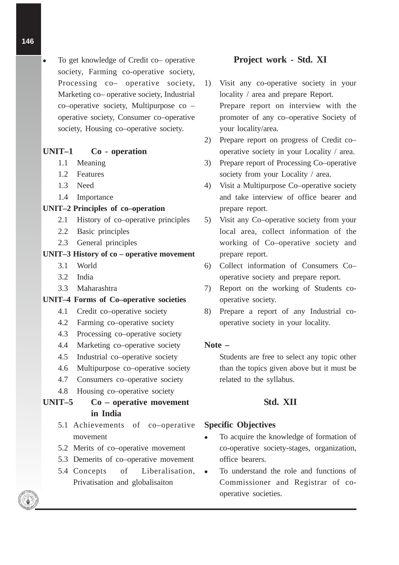To get knowledge of Credit co– operative society, Farming co-operative society, Processing co– operative society, Marketing co– operative society, Industrial co–operative society, Multipurpose co – operative society, Consumer co–operative society, Housing co–operative society.

#### **UNIT–1 Co - operation**

- 1.1 Meaning
- 1.2 Features
- 1.3 Need
- 1.4 Importance

## **UNIT–2 Principles of co–operation**

- 2.1 History of co–operative principles
- 2.2 Basic principles
- 2.3 General principles

#### **UNIT–3 History of co – operative movement**

- 3.1 World
- 3.2 India
- 3.3 Maharashtra

#### **UNIT–4 Forms of Co–operative societies**

- 4.1 Credit co–operative society
- 4.2 Farming co–operative society
- 4.3 Processing co–operative society
- 4.4 Marketing co–operative society
- 4.5 Industrial co–operative society
- 4.6 Multipurpose co–operative society
- 4.7 Consumers co–operative society
- 4.8 Housing co–operative society

## **UNIT–5 Co – operative movement in India**

- 5.1 Achievements of co–operative movement
- 5.2 Merits of co–operative movement
- 5.3 Demerits of co–operative movement
- 5.4 Concepts of Liberalisation, Privatisation and globalisaiton

### **Project work - Std. XI**

- 1) Visit any co-operative society in your locality / area and prepare Report. Prepare report on interview with the promoter of any co–operative Society of your locality/area.
- 2) Prepare report on progress of Credit co– operative society in your Locality / area.
- 3) Prepare report of Processing Co–operative society from your Locality / area.
- 4) Visit a Multipurpose Co–operative society and take interview of office bearer and prepare report.
- 5) Visit any Co–operative society from your local area, collect information of the working of Co–operative society and prepare report.
- 6) Collect information of Consumers Co– operative society and prepare report.
- 7) Report on the working of Students cooperative society.
- 8) Prepare a report of any Industrial cooperative society in your locality.

#### **Note –**

Students are free to select any topic other than the topics given above but it must be related to the syllabus.

### **Std. XII**

#### **Specific Objectives**

- To acquire the knowledge of formation of co-operative society-stages, organization, office bearers.
- To understand the role and functions of Commissioner and Registrar of cooperative societies.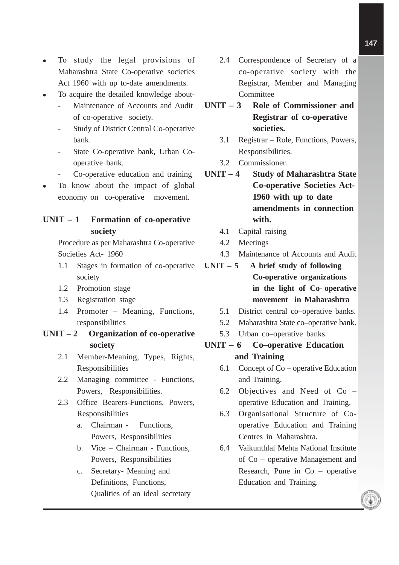- To study the legal provisions of Maharashtra State Co-operative societies Act 1960 with up to-date amendments.
- To acquire the detailed knowledge about-
	- Maintenance of Accounts and Audit of co-operative society.
	- Study of District Central Co-operative bank.
	- State Co-operative bank, Urban Cooperative bank.
	- Co-operative education and training
- To know about the impact of global economy on co-operative movement.

## **UNIT – 1 Formation of co-operative society**

Procedure as per Maharashtra Co-operative Societies Act- 1960

- 1.1 Stages in formation of co-operative society
- 1.2 Promotion stage
- 1.3 Registration stage
- 1.4 Promoter Meaning, Functions, responsibilities

## **UNIT – 2 Organization of co-operative society**

- 2.1 Member-Meaning, Types, Rights, Responsibilities
- 2.2 Managing committee Functions, Powers, Responsibilities.
- 2.3 Office Bearers-Functions, Powers, Responsibilities
	- a. Chairman Functions, Powers, Responsibilities
	- b. Vice Chairman Functions, Powers, Responsibilities
	- c. Secretary- Meaning and Definitions, Functions, Qualities of an ideal secretary
- 2.4 Correspondence of Secretary of a co-operative society with the Registrar, Member and Managing **Committee**
- **UNIT 3 Role of Commissioner and Registrar of co-operative societies.**
	- 3.1 Registrar Role, Functions, Powers, Responsibilities.
	- 3.2 Commissioner.
- **UNIT 4 Study of Maharashtra State Co-operative Societies Act-1960 with up to date amendments in connection with.**
	- 4.1 Capital raising
	- 4.2 Meetings
	- 4.3 Maintenance of Accounts and Audit
- **UNIT 5 A brief study of following Co-operative organizations in the light of Co- operative movement in Maharashtra**
	- 5.1 District central co–operative banks.
	- 5.2 Maharashtra State co–operative bank.
	- 5.3 Urban co–operative banks.

## **UNIT – 6 Co–operative Education and Training**

- 6.1 Concept of Co operative Education and Training.
- 6.2 Objectives and Need of Co operative Education and Training.
- 6.3 Organisational Structure of Cooperative Education and Training Centres in Maharashtra.
- 6.4 Vaikunthlal Mehta National Institute of Co – operative Management and Research, Pune in Co – operative Education and Training.